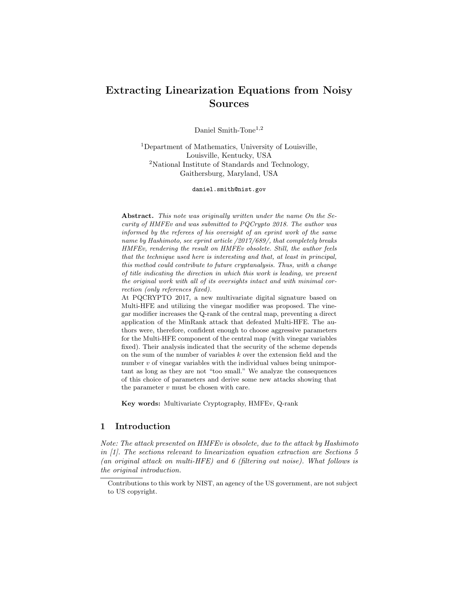# Extracting Linearization Equations from Noisy Sources

Daniel Smith-Tone<sup>1,2</sup>

<sup>1</sup>Department of Mathematics, University of Louisville, Louisville, Kentucky, USA <sup>2</sup>National Institute of Standards and Technology, Gaithersburg, Maryland, USA

daniel.smith@nist.gov

Abstract. This note was originally written under the name On the Security of HMFEv and was submitted to PQCrypto 2018. The author was informed by the referees of his oversight of an eprint work of the same name by Hashimoto, see eprint article /2017/689/, that completely breaks HMFEv, rendering the result on HMFEv obsolete. Still, the author feels that the technique used here is interesting and that, at least in principal, this method could contribute to future cryptanalysis. Thus, with a change of title indicating the direction in which this work is leading, we present the original work with all of its oversights intact and with minimal correction (only references fixed).

At PQCRYPTO 2017, a new multivariate digital signature based on Multi-HFE and utilizing the vinegar modifier was proposed. The vinegar modifier increases the Q-rank of the central map, preventing a direct application of the MinRank attack that defeated Multi-HFE. The authors were, therefore, confident enough to choose aggressive parameters for the Multi-HFE component of the central map (with vinegar variables fixed). Their analysis indicated that the security of the scheme depends on the sum of the number of variables  $k$  over the extension field and the number v of vinegar variables with the individual values being unimportant as long as they are not "too small." We analyze the consequences of this choice of parameters and derive some new attacks showing that the parameter  $v$  must be chosen with care.

Key words: Multivariate Cryptography, HMFEv, Q-rank

# 1 Introduction

Note: The attack presented on HMFEv is obsolete, due to the attack by Hashimoto in [1]. The sections relevant to linearization equation extraction are Sections 5 (an original attack on multi-HFE) and 6 (filtering out noise). What follows is the original introduction.

Contributions to this work by NIST, an agency of the US government, are not subject to US copyright.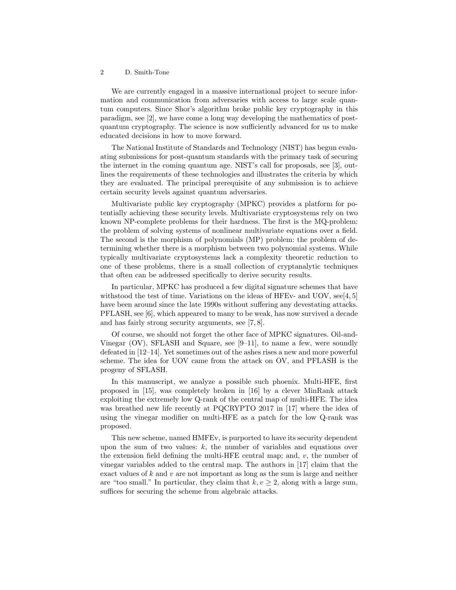We are currently engaged in a massive international project to secure information and communication from adversaries with access to large scale quantum computers. Since Shor's algorithm broke public key cryptography in this paradigm, see [2], we have come a long way developing the mathematics of postquantum cryptography. The science is now sufficiently advanced for us to make educated decisions in how to move forward.

The National Institute of Standards and Technology (NIST) has begun evaluating submissions for post-quantum standards with the primary task of securing the internet in the coming quantum age. NIST's call for proposals, see [3], outlines the requirements of these technologies and illustrates the criteria by which they are evaluated. The principal prerequisite of any submission is to achieve certain security levels against quantum adversaries.

Multivariate public key cryptography (MPKC) provides a platform for potentially achieving these security levels. Multivariate cryptosystems rely on two known NP-complete problems for their hardness. The first is the MQ-problem: the problem of solving systems of nonlinear multivariate equations over a field. The second is the morphism of polynomials (MP) problem: the problem of determining whether there is a morphism between two polynomial systems. While typically multivariate cryptosystems lack a complexity theoretic reduction to one of these problems, there is a small collection of cryptanalytic techniques that often can be addressed specifically to derive security results.

In particular, MPKC has produced a few digital signature schemes that have withstood the test of time. Variations on the ideas of HFEv- and UOV, see<sup>[4, 5]</sup> have been around since the late 1990s without suffering any devestating attacks. PFLASH, see [6], which appeared to many to be weak, has now survived a decade and has fairly strong security arguments, see [7, 8].

Of course, we should not forget the other face of MPKC signatures. Oil-and-Vinegar  $(OV)$ , SFLASH and Square, see  $[9-11]$ , to name a few, were soundly defeated in [12–14]. Yet sometimes out of the ashes rises a new and more powerful scheme. The idea for UOV came from the attack on OV, and PFLASH is the progeny of SFLASH.

In this manuscript, we analyze a possible such phoenix. Multi-HFE, first proposed in [15], was completely broken in [16] by a clever MinRank attack exploiting the extremely low Q-rank of the central map of multi-HFE. The idea was breathed new life recently at PQCRYPTO 2017 in [17] where the idea of using the vinegar modifier on multi-HFE as a patch for the low Q-rank was proposed.

This new scheme, named HMFEv, is purported to have its security dependent upon the sum of two values:  $k$ , the number of variables and equations over the extension field defining the multi-HFE central map; and, v, the number of vinegar variables added to the central map. The authors in [17] claim that the exact values of k and v are not important as long as the sum is large and neither are "too small." In particular, they claim that  $k, v \geq 2$ , along with a large sum, suffices for securing the scheme from algebraic attacks.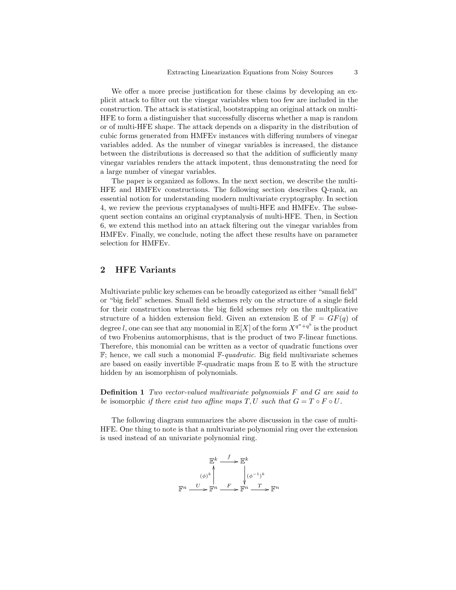We offer a more precise justification for these claims by developing an explicit attack to filter out the vinegar variables when too few are included in the construction. The attack is statistical, bootstrapping an original attack on multi-HFE to form a distinguisher that successfully discerns whether a map is random or of multi-HFE shape. The attack depends on a disparity in the distribution of cubic forms generated from HMFEv instances with differing numbers of vinegar variables added. As the number of vinegar variables is increased, the distance between the distributions is decreased so that the addition of sufficiently many vinegar variables renders the attack impotent, thus demonstrating the need for a large number of vinegar variables.

The paper is organized as follows. In the next section, we describe the multi-HFE and HMFEv constructions. The following section describes Q-rank, an essential notion for understanding modern multivariate cryptography. In section 4, we review the previous cryptanalyses of multi-HFE and HMFEv. The subsequent section contains an original cryptanalysis of multi-HFE. Then, in Section 6, we extend this method into an attack filtering out the vinegar variables from HMFEv. Finally, we conclude, noting the affect these results have on parameter selection for HMFEv.

# 2 HFE Variants

Multivariate public key schemes can be broadly categorized as either "small field" or "big field" schemes. Small field schemes rely on the structure of a single field for their construction whereas the big field schemes rely on the multplicative structure of a hidden extension field. Given an extension  $\mathbb E$  of  $\mathbb F = GF(q)$  of degree l, one can see that any monomial in  $\mathbb{E}[X]$  of the form  $X^{q^a+q^b}$  is the product of two Frobenius automorphisms, that is the product of two F-linear functions. Therefore, this monomial can be written as a vector of quadratic functions over  $\mathbb{F}$ ; hence, we call such a monomial  $\mathbb{F}-quadratic$ . Big field multivariate schemes are based on easily invertible  $\mathbb{F}\text{-}\text{-}$  quadratic maps from  $\mathbb{E}$  to  $\mathbb{E}$  with the structure hidden by an isomorphism of polynomials.

**Definition 1** Two vector-valued multivariate polynomials F and G are said to be isomorphic if there exist two affine maps  $T, U$  such that  $G = T \circ F \circ U$ .

The following diagram summarizes the above discussion in the case of multi-HFE. One thing to note is that a multivariate polynomial ring over the extension is used instead of an univariate polynomial ring.

$$
\begin{array}{ccc}\n & \mathbb{E}^{k} & \xrightarrow{f} & \mathbb{E}^{k} \\
 & & \uparrow & \\
 & & \downarrow & \\
\mathbb{F}^{n} & \xrightarrow{U} & \mathbb{F}^{n} & \xrightarrow{F} & \mathbb{F}^{n} \\
 & & \downarrow & \\
 & & \downarrow & \\
\mathbb{F}^{n} & \xrightarrow{U} & \mathbb{F}^{n} & \xrightarrow{F} & \mathbb{F}^{n}\n\end{array}
$$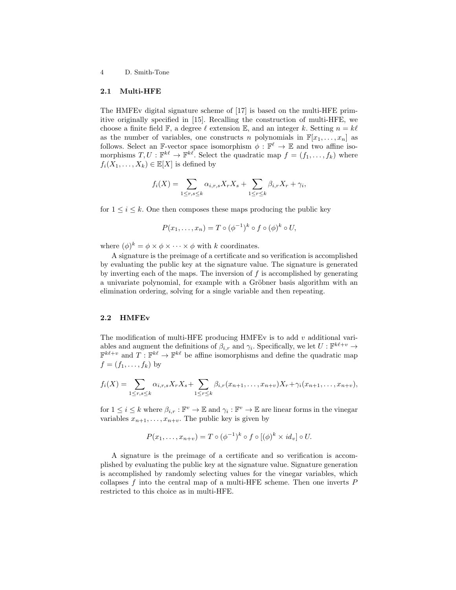#### 2.1 Multi-HFE

The HMFEv digital signature scheme of [17] is based on the multi-HFE primitive originally specified in [15]. Recalling the construction of multi-HFE, we choose a finite field  $\mathbb{F}$ , a degree  $\ell$  extension  $\mathbb{E}$ , and an integer k. Setting  $n = k\ell$ as the number of variables, one constructs n polynomials in  $\mathbb{F}[x_1, \ldots, x_n]$  as follows. Select an  $\mathbb{F}\text{-vector space isomorphism } \phi : \mathbb{F}^{\ell} \to \mathbb{E}$  and two affine isomorphisms  $T, U : \mathbb{F}^{k\ell} \to \mathbb{F}^{k\ell}$ . Select the quadratic map  $f = (f_1, \ldots, f_k)$  where  $f_i(X_1, \ldots, X_k) \in \mathbb{E}[X]$  is defined by

$$
f_i(X) = \sum_{1 \le r, s \le k} \alpha_{i,r,s} X_r X_s + \sum_{1 \le r \le k} \beta_{i,r} X_r + \gamma_i,
$$

for  $1 \leq i \leq k$ . One then composes these maps producing the public key

$$
P(x_1, \ldots, x_n) = T \circ (\phi^{-1})^k \circ f \circ (\phi)^k \circ U,
$$

where  $(\phi)^k = \phi \times \phi \times \cdots \times \phi$  with k coordinates.

A signature is the preimage of a certificate and so verification is accomplished by evaluating the public key at the signature value. The signature is generated by inverting each of the maps. The inversion of  $f$  is accomplished by generating a univariate polynomial, for example with a Gröbner basis algorithm with an elimination ordering, solving for a single variable and then repeating.

#### 2.2 HMFEv

The modification of multi-HFE producing HMFEv is to add  $v$  additional variables and augment the definitions of  $\beta_{i,r}$  and  $\gamma_i$ . Specifically, we let  $U: \mathbb{F}^{k\ell+v} \to$  $\mathbb{F}^{k\ell+v}$  and  $T: \mathbb{F}^{k\ell} \to \mathbb{F}^{k\ell}$  be affine isomorphisms and define the quadratic map  $f = (f_1, \ldots, f_k)$  by

$$
f_i(X) = \sum_{1 \leq r,s \leq k} \alpha_{i,r,s} X_r X_s + \sum_{1 \leq r \leq k} \beta_{i,r}(x_{n+1},\ldots,x_{n+v}) X_r + \gamma_i(x_{n+1},\ldots,x_{n+v}),
$$

for  $1 \leq i \leq k$  where  $\beta_{i,r} : \mathbb{F}^v \to \mathbb{E}$  and  $\gamma_i : \mathbb{F}^v \to \mathbb{E}$  are linear forms in the vinegar variables  $x_{n+1}, \ldots, x_{n+v}$ . The public key is given by

$$
P(x_1, \ldots, x_{n+v}) = T \circ (\phi^{-1})^k \circ f \circ [(\phi)^k \times id_v] \circ U.
$$

A signature is the preimage of a certificate and so verification is accomplished by evaluating the public key at the signature value. Signature generation is accomplished by randomly selecting values for the vinegar variables, which collapses  $f$  into the central map of a multi-HFE scheme. Then one inverts  $P$ restricted to this choice as in multi-HFE.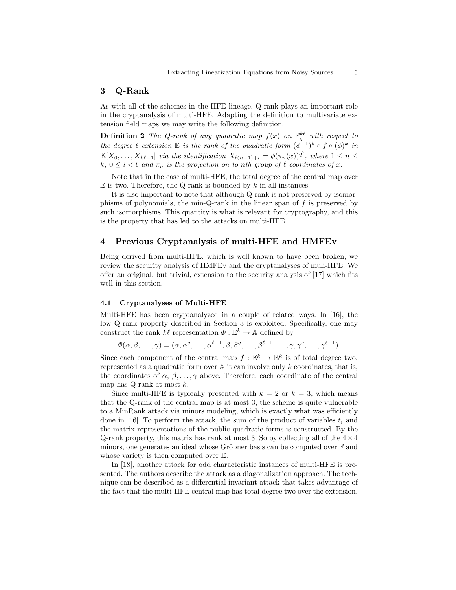## 3 Q-Rank

As with all of the schemes in the HFE lineage, Q-rank plays an important role in the cryptanalysis of multi-HFE. Adapting the definition to multivariate extension field maps we may write the following definition.

**Definition 2** The Q-rank of any quadratic map  $f(\overline{x})$  on  $\mathbb{F}_q^{k\ell}$  with respect to the degree  $\ell$  extension  $\mathbb E$  is the rank of the quadratic form  $(\phi^{-1})^k \circ f \circ (\phi)^k$  in  $\mathbb{K}[X_0,\ldots,X_{k\ell-1}]$  via the identification  $X_{\ell(n-1)+i} = \phi(\pi_n(\overline{x}))^{q^i}$ , where  $1 \leq n \leq$  $k, 0 \leq i < \ell$  and  $\pi_n$  is the projection on to nth group of  $\ell$  coordinates of  $\overline{x}$ .

Note that in the case of multi-HFE, the total degree of the central map over  $E$  is two. Therefore, the Q-rank is bounded by k in all instances.

It is also important to note that although Q-rank is not preserved by isomorphisms of polynomials, the min-Q-rank in the linear span of  $f$  is preserved by such isomorphisms. This quantity is what is relevant for cryptography, and this is the property that has led to the attacks on multi-HFE.

## 4 Previous Cryptanalysis of multi-HFE and HMFEv

Being derived from multi-HFE, which is well known to have been broken, we review the security analysis of HMFEv and the cryptanalyses of muli-HFE. We offer an original, but trivial, extension to the security analysis of [17] which fits well in this section.

#### 4.1 Cryptanalyses of Multi-HFE

Multi-HFE has been cryptanalyzed in a couple of related ways. In [16], the low Q-rank property described in Section 3 is exploited. Specifically, one may construct the rank  $k\ell$  representation  $\Phi : \mathbb{E}^k \to \mathbb{A}$  defined by

$$
\Phi(\alpha,\beta,\ldots,\gamma)=(\alpha,\alpha^q,\ldots,\alpha^{\ell-1},\beta,\beta^q,\ldots,\beta^{\ell-1},\ldots,\gamma,\gamma^q,\ldots,\gamma^{\ell-1}).
$$

Since each component of the central map  $f: \mathbb{E}^k \to \mathbb{E}^k$  is of total degree two, represented as a quadratic form over  $A$  it can involve only k coordinates, that is, the coordinates of  $\alpha, \beta, \ldots, \gamma$  above. Therefore, each coordinate of the central map has Q-rank at most  $k$ .

Since multi-HFE is typically presented with  $k = 2$  or  $k = 3$ , which means that the Q-rank of the central map is at most 3, the scheme is quite vulnerable to a MinRank attack via minors modeling, which is exactly what was efficiently done in [16]. To perform the attack, the sum of the product of variables  $t_i$  and the matrix representations of the public quadratic forms is constructed. By the Q-rank property, this matrix has rank at most 3. So by collecting all of the  $4 \times 4$ minors, one generates an ideal whose Gröbner basis can be computed over  $\mathbb F$  and whose variety is then computed over E.

In [18], another attack for odd characteristic instances of multi-HFE is presented. The authors describe the attack as a diagonalization approach. The technique can be described as a differential invariant attack that takes advantage of the fact that the multi-HFE central map has total degree two over the extension.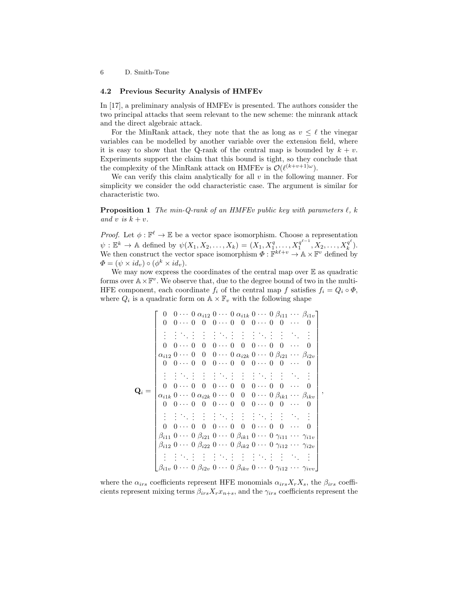#### 4.2 Previous Security Analysis of HMFEv

In [17], a preliminary analysis of HMFEv is presented. The authors consider the two principal attacks that seem relevant to the new scheme: the minrank attack and the direct algebraic attack.

For the MinRank attack, they note that the as long as  $v \leq \ell$  the vinegar variables can be modelled by another variable over the extension field, where it is easy to show that the Q-rank of the central map is bounded by  $k + v$ . Experiments support the claim that this bound is tight, so they conclude that the complexity of the MinRank attack on HMFEv is  $\mathcal{O}(\ell^{(k+v+1)\omega})$ .

We can verify this claim analytically for all  $v$  in the following manner. For simplicity we consider the odd characteristic case. The argument is similar for characteristic two.

**Proposition 1** The min-Q-rank of an HMFEv public key with parameters  $\ell$ , k and v is  $k + v$ .

*Proof.* Let  $\phi : \mathbb{F}^{\ell} \to \mathbb{E}$  be a vector space isomorphism. Choose a representation  $\psi: \mathbb{E}^{k} \to \mathbb{A}$  defined by  $\psi(X_1, X_2, \ldots, X_k) = (X_1, X_1^q, \ldots, X_1^{q^{\ell-1}})$  $X_1^{q^{\ell-1}}, X_2, \ldots, X_k^{q^{\ell}}$  $\binom{q}{k}$ . We then construct the vector space isomorphism  $\Phi : \mathbb{F}^{k\ell+v} \to \mathbb{A} \times \mathbb{F}^v$  defined by  $\Phi = (\psi \times id_v) \circ (\phi^k \times id_v).$ 

We may now express the coordinates of the central map over  $E$  as quadratic forms over  $\mathbb{A} \times \mathbb{F}^v$ . We observe that, due to the degree bound of two in the multi-HFE component, each coordinate  $f_i$  of the central map f satisfies  $f_i = Q_i \circ \Phi$ , where  $Q_i$  is a quadratic form on  $\mathbb{A} \times \mathbb{F}_v$  with the following shape

Q<sup>i</sup> = 0 0 · · · 0 αi<sup>12</sup> 0 · · · 0 αi1<sup>k</sup> 0 · · · 0 βi<sup>11</sup> · · · βi1<sup>v</sup> 0 0 · · · 0 0 0 · · · 0 0 0 · · · 0 0 · · · 0 . . . . . . . . . . . . . . . . . . . . . . . . . . . . . . . . . . . . . . . . . . . . . 0 0 · · · 0 0 0 · · · 0 0 0 · · · 0 0 · · · 0 αi<sup>12</sup> 0 · · · 0 0 0 · · · 0 αi2<sup>k</sup> 0 · · · 0 βi<sup>21</sup> · · · βi2<sup>v</sup> 0 0 · · · 0 0 0 · · · 0 0 0 · · · 0 0 · · · 0 . . . . . . . . . . . . . . . . . . . . . . . . . . . . . . . . . . . . . . . . . . . . . 0 0 · · · 0 0 0 · · · 0 0 0 · · · 0 0 · · · 0 αi1<sup>k</sup> 0 · · · 0 αi2<sup>k</sup> 0 · · · 0 0 0 · · · 0 βik<sup>1</sup> · · · βikv 0 0 · · · 0 0 0 · · · 0 0 0 · · · 0 0 · · · 0 . . . . . . . . . . . . . . . . . . . . . . . . . . . . . . . . . . . . . . . . . . . . . 0 0 · · · 0 0 0 · · · 0 0 0 · · · 0 0 · · · 0 βi<sup>11</sup> 0 · · · 0 βi<sup>21</sup> 0 · · · 0 βik<sup>1</sup> 0 · · · 0 γi<sup>11</sup> · · · γi1<sup>v</sup> βi<sup>12</sup> 0 · · · 0 βi<sup>22</sup> 0 · · · 0 βik<sup>2</sup> 0 · · · 0 γi<sup>12</sup> · · · γi2<sup>v</sup> . . . . . . . . . . . . . . . . . . . . . . . . . . . . . . . . . . . . . . . . . . . . . βi1<sup>v</sup> 0 · · · 0 βi2<sup>v</sup> 0 · · · 0 βikv 0 · · · 0 γi<sup>12</sup> · · · γivv ,

where the  $\alpha_{irs}$  coefficients represent HFE monomials  $\alpha_{irs}X_rX_s$ , the  $\beta_{irs}$  coefficients represent mixing terms  $\beta_{irs}X_rx_{n+s}$ , and the  $\gamma_{irs}$  coefficients represent the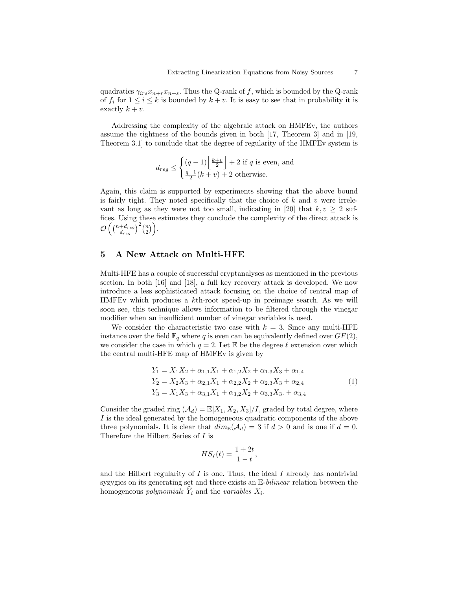quadratics  $\gamma_{irs}x_{n+r}x_{n+s}$ . Thus the Q-rank of f, which is bounded by the Q-rank of  $f_i$  for  $1 \leq i \leq k$  is bounded by  $k + v$ . It is easy to see that in probability it is exactly  $k + v$ .

Addressing the complexity of the algebraic attack on HMFEv, the authors assume the tightness of the bounds given in both [17, Theorem 3] and in [19, Theorem 3.1] to conclude that the degree of regularity of the HMFEv system is

$$
d_{reg} \le \begin{cases} (q-1) \left\lfloor \frac{k+v}{2} \right\rfloor + 2 \text{ if } q \text{ is even, and} \\ \frac{q-1}{2}(k+v) + 2 \text{ otherwise.} \end{cases}
$$

Again, this claim is supported by experiments showing that the above bound is fairly tight. They noted specifically that the choice of  $k$  and  $v$  were irrelevant as long as they were not too small, indicating in [20] that  $k, v \geq 2$  suffices. Using these estimates they conclude the complexity of the direct attack is  $\mathcal{O}\left(\binom{n+d_{reg}}{d_{reg}}^2\binom{n}{2}\right).$ 

## 5 A New Attack on Multi-HFE

Multi-HFE has a couple of successful cryptanalyses as mentioned in the previous section. In both [16] and [18], a full key recovery attack is developed. We now introduce a less sophisticated attack focusing on the choice of central map of HMFEv which produces a kth-root speed-up in preimage search. As we will soon see, this technique allows information to be filtered through the vinegar modifier when an insufficient number of vinegar variables is used.

We consider the characteristic two case with  $k = 3$ . Since any multi-HFE instance over the field  $\mathbb{F}_q$  where q is even can be equivalently defined over  $GF(2)$ , we consider the case in which  $q = 2$ . Let E be the degree  $\ell$  extension over which the central multi-HFE map of HMFEv is given by

$$
Y_1 = X_1 X_2 + \alpha_{1,1} X_1 + \alpha_{1,2} X_2 + \alpha_{1,3} X_3 + \alpha_{1,4}
$$
  
\n
$$
Y_2 = X_2 X_3 + \alpha_{2,1} X_1 + \alpha_{2,2} X_2 + \alpha_{2,3} X_3 + \alpha_{2,4}
$$
  
\n
$$
Y_3 = X_1 X_3 + \alpha_{3,1} X_1 + \alpha_{3,2} X_2 + \alpha_{3,3} X_3 + \alpha_{3,4}
$$
\n(1)

Consider the graded ring  $(\mathcal{A}_d) = \mathbb{E}[X_1, X_2, X_3]/I$ , graded by total degree, where I is the ideal generated by the homogeneous quadratic components of the above three polynomials. It is clear that  $dim_{\mathbb{E}}(\mathcal{A}_d) = 3$  if  $d > 0$  and is one if  $d = 0$ . Therefore the Hilbert Series of I is

$$
HS_I(t) = \frac{1+2t}{1-t},
$$

and the Hilbert regularity of  $I$  is one. Thus, the ideal  $I$  already has nontrivial syzygies on its generating set and there exists an  $E$ -*bilinear* relation between the homogeneous *polynomials*  $Y_i$  and the *variables*  $X_i$ .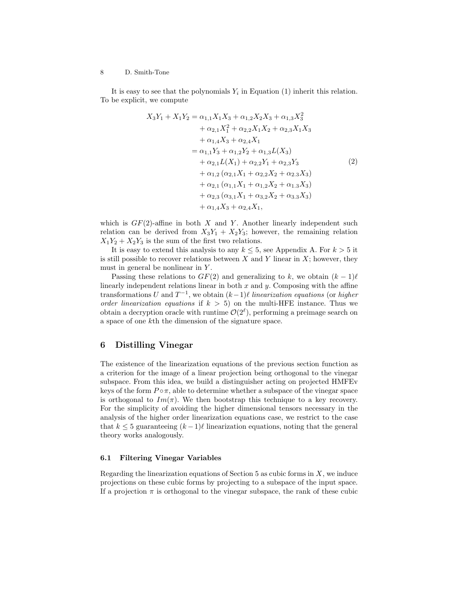It is easy to see that the polynomials  $Y_i$  in Equation (1) inherit this relation. To be explicit, we compute

$$
X_3Y_1 + X_1Y_2 = \alpha_{1,1}X_1X_3 + \alpha_{1,2}X_2X_3 + \alpha_{1,3}X_3^2
$$
  
+  $\alpha_{2,1}X_1^2 + \alpha_{2,2}X_1X_2 + \alpha_{2,3}X_1X_3$   
+  $\alpha_{1,4}X_3 + \alpha_{2,4}X_1$   
=  $\alpha_{1,1}Y_3 + \alpha_{1,2}Y_2 + \alpha_{1,3}L(X_3)$   
+  $\alpha_{2,1}L(X_1) + \alpha_{2,2}Y_1 + \alpha_{2,3}Y_3$   
+  $\alpha_{1,2}(\alpha_{2,1}X_1 + \alpha_{2,2}X_2 + \alpha_{2,3}X_3)$   
+  $\alpha_{2,1}(\alpha_{1,1}X_1 + \alpha_{1,2}X_2 + \alpha_{1,3}X_3)$   
+  $\alpha_{2,3}(\alpha_{3,1}X_1 + \alpha_{3,2}X_2 + \alpha_{3,3}X_3)$   
+  $\alpha_{1,4}X_3 + \alpha_{2,4}X_1$ ,

which is  $GF(2)$ -affine in both X and Y. Another linearly independent such relation can be derived from  $X_3Y_1 + X_2Y_3$ ; however, the remaining relation  $X_1Y_2 + X_2Y_3$  is the sum of the first two relations.

It is easy to extend this analysis to any  $k \leq 5$ , see Appendix A. For  $k > 5$  it is still possible to recover relations between  $X$  and  $Y$  linear in  $X$ ; however, they must in general be nonlinear in  $Y$ .

Passing these relations to  $GF(2)$  and generalizing to k, we obtain  $(k - 1)\ell$ linearly independent relations linear in both  $x$  and  $y$ . Composing with the affine transformations U and  $T^{-1}$ , we obtain  $(k-1)\ell$  linearization equations (or higher order linearization equations if  $k > 5$ ) on the multi-HFE instance. Thus we obtain a decryption oracle with runtime  $\mathcal{O}(2^{\ell})$ , performing a preimage search on a space of one kth the dimension of the signature space.

## 6 Distilling Vinegar

The existence of the linearization equations of the previous section function as a criterion for the image of a linear projection being orthogonal to the vinegar subspace. From this idea, we build a distinguisher acting on projected HMFEv keys of the form  $P \circ \pi$ , able to determine whether a subspace of the vinegar space is orthogonal to  $Im(\pi)$ . We then bootstrap this technique to a key recovery. For the simplicity of avoiding the higher dimensional tensors necessary in the analysis of the higher order linearization equations case, we restrict to the case that  $k \leq 5$  guaranteeing  $(k-1)\ell$  linearization equations, noting that the general theory works analogously.

### 6.1 Filtering Vinegar Variables

Regarding the linearization equations of Section 5 as cubic forms in  $X$ , we induce projections on these cubic forms by projecting to a subspace of the input space. If a projection  $\pi$  is orthogonal to the vinegar subspace, the rank of these cubic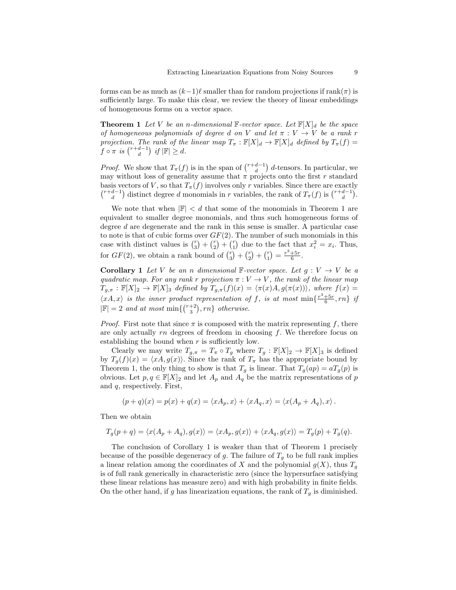forms can be as much as  $(k-1)\ell$  smaller than for random projections if rank $(\pi)$  is sufficiently large. To make this clear, we review the theory of linear embeddings of homogeneous forms on a vector space.

**Theorem 1** Let V be an n-dimensional  $\mathbb{F}\text{-vector space.}$  Let  $\mathbb{F}[X]_d$  be the space of homogeneous polynomials of degree d on V and let  $\pi : V \to V$  be a rank r projection. The rank of the linear map  $T_{\pi}: \mathbb{F}[X]_d \to \mathbb{F}[X]_d$  defined by  $T_{\pi}(f) =$  $f \circ \pi$  is  $\binom{r+d-1}{d}$  if  $|\mathbb{F}| \geq d$ .

*Proof.* We show that  $T_{\pi}(f)$  is in the span of  $\binom{r+d-1}{d}$  d-tensors. In particular, we may without loss of generality assume that  $\pi$  projects onto the first r standard basis vectors of V, so that  $T_{\pi}(f)$  involves only r variables. Since there are exactly  $\binom{r+d-1}{d}$  distinct degree d monomials in r variables, the rank of  $T_{\pi}(f)$  is  $\binom{r+d-1}{d}$ .

We note that when  $|\mathbb{F}| < d$  that some of the monomials in Theorem 1 are equivalent to smaller degree monomials, and thus such homogeneous forms of degree d are degenerate and the rank in this sense is smaller. A particular case to note is that of cubic forms over  $GF(2)$ . The number of such monomials in this case with distinct values is  $\binom{r}{3} + \binom{r}{2} + \binom{r}{1}$  due to the fact that  $x_i^2 = x_i$ . Thus, for  $GF(2)$ , we obtain a rank bound of  $\binom{r}{3} + \binom{r}{2} + \binom{r}{1} = \frac{r^3 + 5r}{6}$ .

**Corollary 1** Let V be an n dimensional  $\mathbb{F}\text{-vector space.}$  Let  $g: V \to V$  be a quadratic map. For any rank r projection  $\pi : V \to V$ , the rank of the linear map  $T_{g,\pi} : \mathbb{F}[X]_2 \to \mathbb{F}[X]_3$  defined by  $T_{g,\pi}(f)(x) = \langle \pi(x)A, g(\pi(x)) \rangle$ , where  $f(x) =$  $\langle xA, x \rangle$  is the inner product representation of f, is at most  $\min\{\frac{r^3+5r}{6}, rn\}$  if  $|\mathbb{F}| = 2$  and at most  $\min\left\{ {r + 2 \choose 3}, rn \right\}$  otherwise.

*Proof.* First note that since  $\pi$  is composed with the matrix representing f, there are only actually  $rn$  degrees of freedom in choosing  $f$ . We therefore focus on establishing the bound when  $r$  is sufficiently low.

Clearly we may write  $T_{g,\pi} = T_{\pi} \circ T_g$  where  $T_g : \mathbb{F}[X]_2 \to \mathbb{F}[X]_3$  is defined by  $T_g(f)(x) = \langle xA, g(x) \rangle$ . Since the rank of  $T_\pi$  has the appropriate bound by Theorem 1, the only thing to show is that  $T_g$  is linear. That  $T_g(ap) = aT_g(p)$  is obvious. Let  $p, q \in \mathbb{F}[X]_2$  and let  $A_p$  and  $A_q$  be the matrix representations of p and q, respectively. First,

$$
(p+q)(x) = p(x) + q(x) = \langle xA_p, x \rangle + \langle xA_q, x \rangle = \langle x(A_p + A_q), x \rangle.
$$

Then we obtain

$$
T_g(p+q) = \langle x(A_p+A_q), g(x) \rangle = \langle xA_p, g(x) \rangle + \langle xA_q, g(x) \rangle = T_g(p) + T_g(q).
$$

The conclusion of Corollary 1 is weaker than that of Theorem 1 precisely because of the possible degeneracy of g. The failure of  $T_g$  to be full rank implies a linear relation among the coordinates of X and the polynomial  $g(X)$ , thus  $T_g$ is of full rank generically in characteristic zero (since the hypersurface satisfying these linear relations has measure zero) and with high probability in finite fields. On the other hand, if g has linearization equations, the rank of  $T<sub>g</sub>$  is diminished.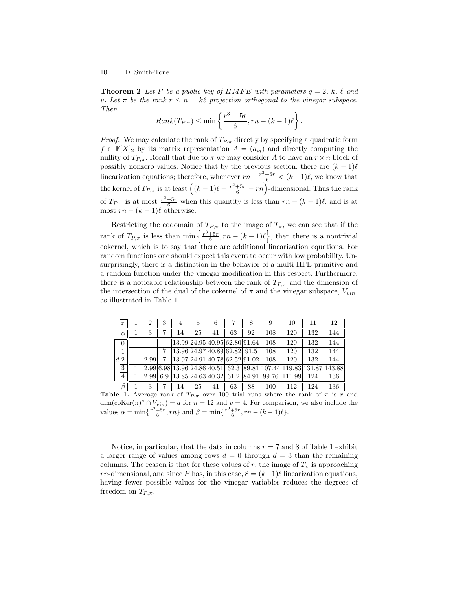**Theorem 2** Let P be a public key of HMFE with parameters  $q = 2$ , k,  $\ell$  and v. Let  $\pi$  be the rank  $r \leq n = k\ell$  projection orthogonal to the vinegar subspace. Then

$$
Rank(T_{P,\pi}) \le \min\left\{\frac{r^3+5r}{6}, rn-(k-1)\ell\right\}.
$$

*Proof.* We may calculate the rank of  $T_{P,\pi}$  directly by specifying a quadratic form  $f \in \mathbb{F}[X]_2$  by its matrix representation  $A = (a_{ij})$  and directly computing the nullity of  $T_{P,\pi}$ . Recall that due to  $\pi$  we may consider A to have an  $r \times n$  block of possibly nonzero values. Notice that by the previous section, there are  $(k - 1)\ell$ linearization equations; therefore, whenever  $rn - \frac{r^3 + 5r}{6} < (k-1)\ell$ , we know that the kernel of  $T_{P,\pi}$  is at least  $\left( (k-1)\ell + \frac{r^3+5r}{6} - rn \right)$ -dimensional. Thus the rank of  $T_{P,\pi}$  is at most  $\frac{r^3+5r}{6}$  when this quantity is less than  $rn - (k-1)\ell$ , and is at most  $rn - (k - 1)\ell$  otherwise.

Restricting the codomain of  $T_{P,\pi}$  to the image of  $T_{\pi}$ , we can see that if the rank of  $T_{P,\pi}$  is less than  $\min \left\{ \frac{r^3+5r}{6}, rn-(k-1)\ell \right\}$ , then there is a nontrivial cokernel, which is to say that there are additional linearization equations. For random functions one should expect this event to occur with low probability. Unsurprisingly, there is a distinction in the behavior of a multi-HFE primitive and a random function under the vinegar modification in this respect. Furthermore, there is a noticable relationship between the rank of  $T_{P,\pi}$  and the dimension of the intersection of the dual of the cokernel of  $\pi$  and the vinegar subspace,  $V_{vin}$ , as illustrated in Table 1.

|     | r        |      | 3   | 4  | 5                            | 6  |    | 8                             | 9                                                             | 10     | 11  | 12     |
|-----|----------|------|-----|----|------------------------------|----|----|-------------------------------|---------------------------------------------------------------|--------|-----|--------|
|     | $\alpha$ | 3    |     | 14 | 25                           | 41 | 63 | 92                            | 108                                                           | 120    | 132 | 144    |
|     | 0        |      |     |    |                              |    |    | 13.99 24.95 40.95 62.80 91.64 | 108                                                           | 120    | 132 | 144    |
|     | 1        |      | 7   |    | 13.96 24.97 40.89 62.82 91.5 |    |    |                               | 108                                                           | 120    | 132 | 144    |
| d 2 |          | 2.99 |     |    |                              |    |    | 13.97 24.91 40.78 62.52 91.02 | 108                                                           | 120    | 132 | 144    |
|     | 3        |      |     |    |                              |    |    |                               | 2.99 6.98 13.96 24.86 40.51  62.3  89.81 107.44 119.83 131.87 |        |     | 143.88 |
|     | 4        | 2.99 | 6.9 |    |                              |    |    | 13.85 24.63 40.32 61.2 84.91  | 99.76                                                         | 111.99 | 124 | 136    |
|     | β        |      |     | 14 | 25                           | 41 | 63 | 88                            | 100                                                           | 112    | 124 | 136    |

**Table 1.** Average rank of  $T_{P,\pi}$  over 100 trial runs where the rank of  $\pi$  is r and  $\dim(\mathrm{coKer}(\pi)^*) \cap V_{vin} = d$  for  $n = 12$  and  $v = 4$ . For comparison, we also include the values  $\alpha = \min\{\frac{r^3 + 5r}{6}, rn\}$  and  $\beta = \min\{\frac{r^3 + 5r}{6}, rn - (k-1)\ell\}.$ 

Notice, in particular, that the data in columns  $r = 7$  and 8 of Table 1 exhibit a larger range of values among rows  $d = 0$  through  $d = 3$  than the remaining columns. The reason is that for these values of r, the image of  $T_{\pi}$  is approaching rn-dimensional, and since P has, in this case,  $8 = (k-1)\ell$  linearization equations, having fewer possible values for the vinegar variables reduces the degrees of freedom on  $T_{P,\pi}$ .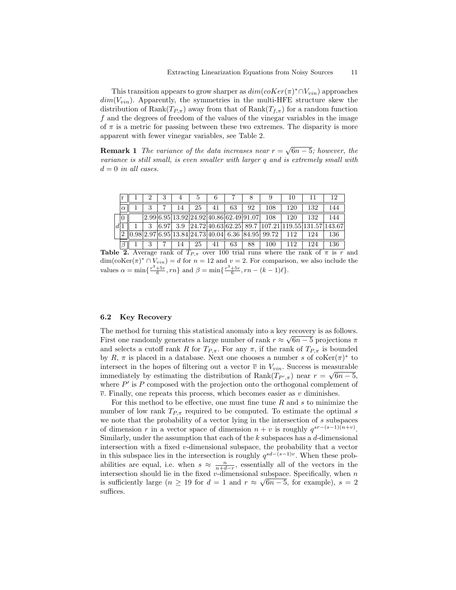This transition appears to grow sharper as  $dim(c \times (r(\pi)^*) \cap V_{vin})$  approaches  $dim(V_{vin})$ . Apparently, the symmetries in the multi-HFE structure skew the distribution of Rank $(T_{P,\pi})$  away from that of Rank $(T_{f,\pi})$  for a random function f and the degrees of freedom of the values of the vinegar variables in the image of  $\pi$  is a metric for passing between these two extremes. The disparity is more apparent with fewer vinegar variables, see Table 2.

**Remark 1** The variance of the data increases near  $r = \sqrt{6n-5}$ ; however, the variance is still small, is even smaller with larger q and is extremely small with  $d = 0$  in all cases.

|     |          |   |                                             |    |    |    |    |                                                          |     |     | 12  |
|-----|----------|---|---------------------------------------------|----|----|----|----|----------------------------------------------------------|-----|-----|-----|
|     | $\alpha$ |   |                                             | 25 | 41 | 63 | 92 | 108                                                      | 120 | 132 | 144 |
|     | 0        |   | $[2.99 6.95 13.92 24.92 40.86 62.49 91.07]$ |    |    |    |    | 108                                                      | 120 | 132 | 144 |
| ld. |          | 3 | 3.9                                         |    |    |    |    | $[24.72]40.63[62.25]89.7[107.21]119.55[131.57]143.67$    |     |     |     |
|     | '2       |   |                                             |    |    |    |    | 2.97  6.95  13.84  24.73  40.04   6.36    84.95    99.72 | 112 | 124 | 136 |
|     |          |   |                                             | 25 | 41 | 63 | 88 | 100                                                      | 12  | 124 | 136 |

**Table 2.** Average rank of  $T_{P,\pi}$  over 100 trial runs where the rank of  $\pi$  is r and  $\dim(\mathrm{coKer}(\pi)^*) \cap V_{vin} = d$  for  $n = 12$  and  $v = 2$ . For comparison, we also include the values  $\alpha = \min\{\frac{r^3 + 5r}{6}, rn\}$  and  $\beta = \min\{\frac{r^3 + 5r}{6}, rn - (k-1)\ell\}.$ 

#### 6.2 Key Recovery

The method for turning this statistical anomaly into a key recovery is as follows. First one randomly generates a large number of rank  $r \approx \sqrt{6n-5}$  projections  $\pi$ and selects a cutoff rank R for  $T_{P,\pi}$ . For any  $\pi$ , if the rank of  $T_{P,\pi}$  is bounded by R,  $\pi$  is placed in a database. Next one chooses a number s of  $\operatorname{coKer}(\pi)^*$  to intersect in the hopes of filtering out a vector  $\overline{v}$  in  $V_{vin}$ . Success is measurable immediately by estimating the distribution of  $\text{Rank}(T_{P',\pi})$  near  $r = \sqrt{6n-5}$ , where  $P'$  is  $P$  composed with the projection onto the orthogonal complement of  $\overline{v}$ . Finally, one repeats this process, which becomes easier as v diminishes.

For this method to be effective, one must fine tune  $R$  and  $s$  to minimize the number of low rank  $T_{P,\pi}$  required to be computed. To estimate the optimal s we note that the probability of a vector lying in the intersection of s subspaces of dimension r in a vector space of dimension  $n + v$  is roughly  $q^{sr-(s-1)(n+v)}$ . Similarly, under the assumption that each of the  $k$  subspaces has a  $d$ -dimensional intersection with a fixed v-dimensional subspace, the probability that a vector in this subspace lies in the intersection is roughly  $q^{sd-(s-1)v}$ . When these probabilities are equal, i.e. when  $s \approx \frac{n}{n+d-r}$ , essentially all of the vectors in the intersection should lie in the fixed v-dimensional subspace. Specifically, when  $n \rightarrow \infty$ is sufficiently large  $(n \geq 19$  for  $d = 1$  and  $r \approx \sqrt{6n-5}$ , for example),  $s = 2$ suffices.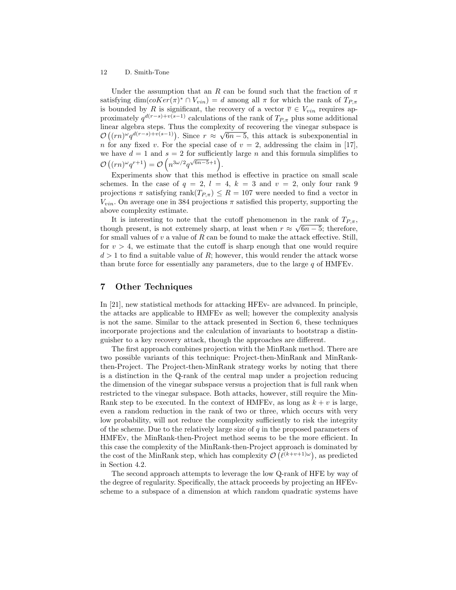Under the assumption that an R can be found such that the fraction of  $\pi$ satisfying  $\dim(coker(\pi)^* \cap V_{vin}) = d$  among all  $\pi$  for which the rank of  $T_{P,\pi}$ is bounded by R is significant, the recovery of a vector  $\overline{v} \in V_{vin}$  requires approximately  $q^{d(r-s)+v(s-1)}$  calculations of the rank of  $T_{P,\pi}$  plus some additional linear algebra steps. Thus the complexity of recovering the vinegar subspace is  $\mathcal{L}(\mathcal{L})$  $\mathcal{O}\left((rn)^{\omega}q^{d(r-s)+v(s-1)}\right)$ . Since  $r \approx \sqrt{6n-5}$ , this attack is subexponential in n for any fixed v. For the special case of  $v = 2$ , addressing the claim in [17], we have  $d = 1$  and  $s = 2$  for sufficiently large n and this formula simplifies to  $\mathcal{O}\left((rn)^{\omega}q^{r+1}\right) = \mathcal{O}\left(n^{3\omega/2}q^{\sqrt{6n-5}+1}\right).$ 

Experiments show that this method is effective in practice on small scale schemes. In the case of  $q = 2$ ,  $l = 4$ ,  $k = 3$  and  $v = 2$ , only four rank 9 projections  $\pi$  satisfying rank $(T_{P,\pi}) \leq R = 107$  were needed to find a vector in  $V_{vin}$ . On average one in 384 projections  $\pi$  satisfied this property, supporting the above complexity estimate.

It is interesting to note that the cutoff phenomenon in the rank of  $T_{P,\pi}$ , though present, is not extremely sharp, at least when  $r \approx \sqrt{6n-5}$ ; therefore, for small values of  $v$  a value of  $R$  can be found to make the attack effective. Still, for  $v > 4$ , we estimate that the cutoff is sharp enough that one would require  $d > 1$  to find a suitable value of R; however, this would render the attack worse than brute force for essentially any parameters, due to the large  $q$  of HMFEv.

# 7 Other Techniques

In [21], new statistical methods for attacking HFEv- are advanced. In principle, the attacks are applicable to HMFEv as well; however the complexity analysis is not the same. Similar to the attack presented in Section 6, these techniques incorporate projections and the calculation of invariants to bootstrap a distinguisher to a key recovery attack, though the approaches are different.

The first approach combines projection with the MinRank method. There are two possible variants of this technique: Project-then-MinRank and MinRankthen-Project. The Project-then-MinRank strategy works by noting that there is a distinction in the Q-rank of the central map under a projection reducing the dimension of the vinegar subspace versus a projection that is full rank when restricted to the vinegar subspace. Both attacks, however, still require the Min-Rank step to be executed. In the context of HMFEv, as long as  $k + v$  is large, even a random reduction in the rank of two or three, which occurs with very low probability, will not reduce the complexity sufficiently to risk the integrity of the scheme. Due to the relatively large size of  $q$  in the proposed parameters of HMFEv, the MinRank-then-Project method seems to be the more efficient. In this case the complexity of the MinRank-then-Project approach is dominated by the cost of the MinRank step, which has complexity  $\mathcal{O}(\ell^{(k+v+1)\omega})$ , as predicted in Section 4.2.

The second approach attempts to leverage the low Q-rank of HFE by way of the degree of regularity. Specifically, the attack proceeds by projecting an HFEvscheme to a subspace of a dimension at which random quadratic systems have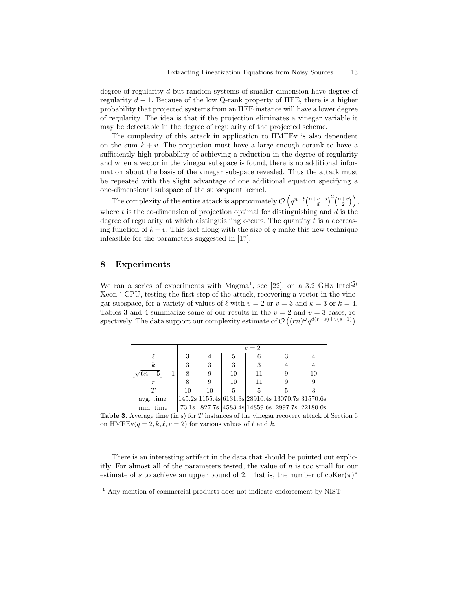degree of regularity d but random systems of smaller dimension have degree of regularity  $d-1$ . Because of the low Q-rank property of HFE, there is a higher probability that projected systems from an HFE instance will have a lower degree of regularity. The idea is that if the projection eliminates a vinegar variable it may be detectable in the degree of regularity of the projected scheme.

The complexity of this attack in application to HMFEv is also dependent on the sum  $k + v$ . The projection must have a large enough corank to have a sufficiently high probability of achieving a reduction in the degree of regularity and when a vector in the vinegar subspace is found, there is no additional information about the basis of the vinegar subspace revealed. Thus the attack must be repeated with the slight advantage of one additional equation specifying a one-dimensional subspace of the subsequent kernel.

The complexity of the entire attack is approximately  $\mathcal{O}\left(q^{n-t}\binom{n+v+d}{d}^2\binom{n+v}{2}\right)$ , where t is the co-dimension of projection optimal for distinguishing and  $d$  is the degree of regularity at which distinguishing occurs. The quantity  $t$  is a decreasing function of  $k + v$ . This fact along with the size of q make this new technique infeasible for the parameters suggested in [17].

### 8 Experiments

We ran a series of experiments with Magma<sup>1</sup>, see [22], on a 3.2 GHz Intel<sup>®</sup>  $Xeon^{\mathbb{N}}$  CPU, testing the first step of the attack, recovering a vector in the vinegar subspace, for a variety of values of  $\ell$  with  $v = 2$  or  $v = 3$  and  $k = 3$  or  $k = 4$ . Tables 3 and 4 summarize some of our results in the  $v = 2$  and  $v = 3$  cases, respectively. The data support our complexity estimate of  $\mathcal{O}((rn)^{\omega}q^{d(r-s)+v(s-1)})$ .

|              |    | $v=2$ |    |    |  |                                                                           |  |  |  |
|--------------|----|-------|----|----|--|---------------------------------------------------------------------------|--|--|--|
|              | ച  |       |    |    |  |                                                                           |  |  |  |
|              | ച  | 3     | ച  | ว  |  |                                                                           |  |  |  |
| $6n - 5 + 1$ |    |       | 10 | 11 |  | 10                                                                        |  |  |  |
|              |    |       | 10 |    |  |                                                                           |  |  |  |
|              | 10 | 10    |    |    |  |                                                                           |  |  |  |
| avg. time    |    |       |    |    |  | $ 145.2$ s $ 1155.4$ s $ 6131.3$ s $ 28910.4$ s $ 13070.7$ s $ 31570.6$ s |  |  |  |
| min. time    |    |       |    |    |  | 73.1s   827.7s   4583.4s   14859.6s   2997.7s   22180.0s                  |  |  |  |

Table 3. Average time (in s) for  $T$  instances of the vinegar recovery attack of Section 6 on HMFEv( $q = 2, k, \ell, v = 2$ ) for various values of  $\ell$  and k.

There is an interesting artifact in the data that should be pointed out explicitly. For almost all of the parameters tested, the value of  $n$  is too small for our estimate of s to achieve an upper bound of 2. That is, the number of  $coKer(\pi)^*$ 

<sup>&</sup>lt;sup>1</sup> Any mention of commercial products does not indicate endorsement by NIST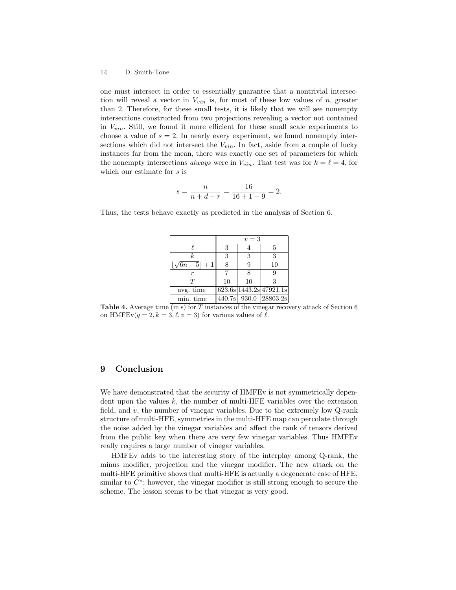one must intersect in order to essentially guarantee that a nontrivial intersection will reveal a vector in  $V_{vin}$  is, for most of these low values of n, greater than 2. Therefore, for these small tests, it is likely that we will see nonempty intersections constructed from two projections revealing a vector not contained in  $V_{vin}$ . Still, we found it more efficient for these small scale experiments to choose a value of  $s = 2$ . In nearly every experiment, we found nonempty intersections which did not intersect the  $V_{vin}$ . In fact, aside from a couple of lucky instances far from the mean, there was exactly one set of parameters for which the nonempty intersections always were in  $V_{vin}$ . That test was for  $k = \ell = 4$ , for which our estimate for s is

$$
s = \frac{n}{n+d-r} = \frac{16}{16+1-9} = 2.
$$

Thus, the tests behave exactly as predicted in the analysis of Section 6.

|                   |    | $v=3$ |                         |
|-------------------|----|-------|-------------------------|
|                   | 3  |       | 5                       |
| k                 | 3  | 3     | 3                       |
| $ \sqrt{6n-5} +1$ | 8  | 9     | 10                      |
| r                 |    |       |                         |
|                   | 10 | 10    |                         |
| avg. time         |    |       | 623.6s 1443.2s 47921.1s |
| min. time         |    |       | 440.7s 930.0 28803.2s   |

Table 4. Average time (in s) for T instances of the vinegar recovery attack of Section 6 on HMFEv( $q = 2, k = 3, \ell, v = 3$ ) for various values of  $\ell$ .

# 9 Conclusion

We have demonstrated that the security of HMFEv is not symmetrically dependent upon the values  $k$ , the number of multi-HFE variables over the extension field, and  $v$ , the number of vinegar variables. Due to the extremely low  $Q$ -rank structure of multi-HFE, symmetries in the multi-HFE map can percolate through the noise added by the vinegar variables and affect the rank of tensors derived from the public key when there are very few vinegar variables. Thus HMFEv really requires a large number of vinegar variables.

HMFEv adds to the interesting story of the interplay among Q-rank, the minus modifier, projection and the vinegar modifier. The new attack on the multi-HFE primitive shows that multi-HFE is actually a degenerate case of HFE, similar to  $C^*$ ; however, the vinegar modifier is still strong enough to secure the scheme. The lesson seems to be that vinegar is very good.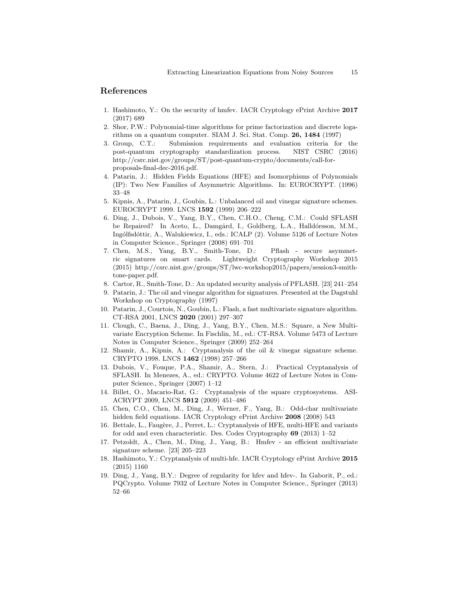### References

- 1. Hashimoto, Y.: On the security of hmfev. IACR Cryptology ePrint Archive 2017 (2017) 689
- 2. Shor, P.W.: Polynomial-time algorithms for prime factorization and discrete logarithms on a quantum computer. SIAM J. Sci. Stat. Comp. 26, 1484 (1997)
- 3. Group, C.T.: Submission requirements and evaluation criteria for the post-quantum cryptography standardization process. NIST CSRC (2016) http://csrc.nist.gov/groups/ST/post-quantum-crypto/documents/call-forproposals-final-dec-2016.pdf.
- 4. Patarin, J.: Hidden Fields Equations (HFE) and Isomorphisms of Polynomials (IP): Two New Families of Asymmetric Algorithms. In: EUROCRYPT. (1996) 33–48
- 5. Kipnis, A., Patarin, J., Goubin, L.: Unbalanced oil and vinegar signature schemes. EUROCRYPT 1999. LNCS 1592 (1999) 206–222
- 6. Ding, J., Dubois, V., Yang, B.Y., Chen, C.H.O., Cheng, C.M.: Could SFLASH be Repaired? In Aceto, L., Damgård, I., Goldberg, L.A., Halldórsson, M.M., Ingólfsdóttir, A., Walukiewicz, I., eds.: ICALP (2). Volume 5126 of Lecture Notes in Computer Science., Springer (2008) 691–701
- 7. Chen, M.S., Yang, B.Y., Smith-Tone, D.: Pflash secure asymmetric signatures on smart cards. Lightweight Cryptography Workshop 2015 (2015) http://csrc.nist.gov/groups/ST/lwc-workshop2015/papers/session3-smithtone-paper.pdf.
- 8. Cartor, R., Smith-Tone, D.: An updated security analysis of PFLASH. [23] 241–254
- 9. Patarin, J.: The oil and vinegar algorithm for signatures. Presented at the Dagstuhl Workshop on Cryptography (1997)
- 10. Patarin, J., Courtois, N., Goubin, L.: Flash, a fast multivariate signature algorithm. CT-RSA 2001, LNCS 2020 (2001) 297–307
- 11. Clough, C., Baena, J., Ding, J., Yang, B.Y., Chen, M.S.: Square, a New Multivariate Encryption Scheme. In Fischlin, M., ed.: CT-RSA. Volume 5473 of Lecture Notes in Computer Science., Springer (2009) 252–264
- 12. Shamir, A., Kipnis, A.: Cryptanalysis of the oil & vinegar signature scheme. CRYPTO 1998. LNCS 1462 (1998) 257–266
- 13. Dubois, V., Fouque, P.A., Shamir, A., Stern, J.: Practical Cryptanalysis of SFLASH. In Menezes, A., ed.: CRYPTO. Volume 4622 of Lecture Notes in Computer Science., Springer (2007) 1–12
- 14. Billet, O., Macario-Rat, G.: Cryptanalysis of the square cryptosystems. ASI-ACRYPT 2009, LNCS 5912 (2009) 451–486
- 15. Chen, C.O., Chen, M., Ding, J., Werner, F., Yang, B.: Odd-char multivariate hidden field equations. IACR Cryptology ePrint Archive 2008 (2008) 543
- 16. Bettale, L., Faugère, J., Perret, L.: Cryptanalysis of HFE, multi-HFE and variants for odd and even characteristic. Des. Codes Cryptography 69 (2013) 1–52
- 17. Petzoldt, A., Chen, M., Ding, J., Yang, B.: Hmfev an efficient multivariate signature scheme. [23] 205–223
- 18. Hashimoto, Y.: Cryptanalysis of multi-hfe. IACR Cryptology ePrint Archive 2015 (2015) 1160
- 19. Ding, J., Yang, B.Y.: Degree of regularity for hfev and hfev-. In Gaborit, P., ed.: PQCrypto. Volume 7932 of Lecture Notes in Computer Science., Springer (2013) 52–66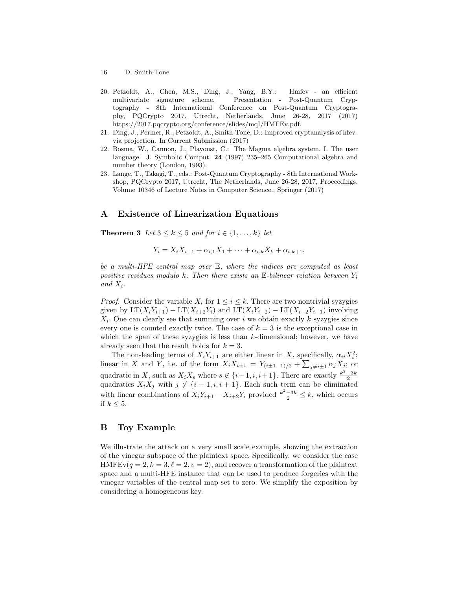- 16 D. Smith-Tone
- 20. Petzoldt, A., Chen, M.S., Ding, J., Yang, B.Y.: Hmfev an efficient multivariate signature scheme. Presentation - Post-Quantum Cryptography - 8th International Conference on Post-Quantum Cryptography, PQCrypto 2017, Utrecht, Netherlands, June 26-28, 2017 (2017) https://2017.pqcrypto.org/conference/slides/mqI/HMFEv.pdf.
- 21. Ding, J., Perlner, R., Petzoldt, A., Smith-Tone, D.: Improved cryptanalysis of hfevvia projection. In Current Submission (2017)
- 22. Bosma, W., Cannon, J., Playoust, C.: The Magma algebra system. I. The user language. J. Symbolic Comput. 24 (1997) 235–265 Computational algebra and number theory (London, 1993).
- 23. Lange, T., Takagi, T., eds.: Post-Quantum Cryptography 8th International Workshop, PQCrypto 2017, Utrecht, The Netherlands, June 26-28, 2017, Proceedings. Volume 10346 of Lecture Notes in Computer Science., Springer (2017)

### A Existence of Linearization Equations

**Theorem 3** Let  $3 \leq k \leq 5$  and for  $i \in \{1, \ldots, k\}$  let

$$
Y_i = X_i X_{i+1} + \alpha_{i,1} X_1 + \dots + \alpha_{i,k} X_k + \alpha_{i,k+1},
$$

be a multi-HFE central map over E, where the indices are computed as least positive residues modulo k. Then there exists an  $E$ -bilinear relation between  $Y_i$ and  $X_i$ .

*Proof.* Consider the variable  $X_i$  for  $1 \leq i \leq k$ . There are two nontrivial syzygies given by  $LT(X_iY_{i+1}) - LT(X_{i+2}Y_i)$  and  $LT(X_iY_{i-2}) - LT(X_{i-2}Y_{i-1})$  involving  $X_i$ . One can clearly see that summing over i we obtain exactly k syzygies since every one is counted exactly twice. The case of  $k = 3$  is the exceptional case in which the span of these syzygies is less than  $k$ -dimensional; however, we have already seen that the result holds for  $k = 3$ .

The non-leading terms of  $X_i Y_{i+1}$  are either linear in X, specifically,  $\alpha_{ii} X_i^2$ ; linear in X and Y, i.e. of the form  $X_i X_{i\pm 1} = Y_{(i\pm 1-1)/2} + \sum_{j\neq i\pm 1} \alpha_j X_j$ ; or quadratic in X, such as  $X_i X_s$  where  $s \notin \{i-1, i, i+1\}$ . There are exactly  $\frac{k^2-3k}{2}$ quadratics  $X_i X_j$  with  $j \notin \{i-1, i, i+1\}$ . Each such term can be eliminated with linear combinations of  $X_i Y_{i+1} - X_{i+2} Y_i$  provided  $\frac{k^2 - 3k}{2} \le k$ , which occurs if  $k \leq 5$ .

### B Toy Example

We illustrate the attack on a very small scale example, showing the extraction of the vinegar subspace of the plaintext space. Specifically, we consider the case HMFEv( $q = 2, k = 3, \ell = 2, v = 2$ ), and recover a transformation of the plaintext space and a multi-HFE instance that can be used to produce forgeries with the vinegar variables of the central map set to zero. We simplify the exposition by considering a homogeneous key.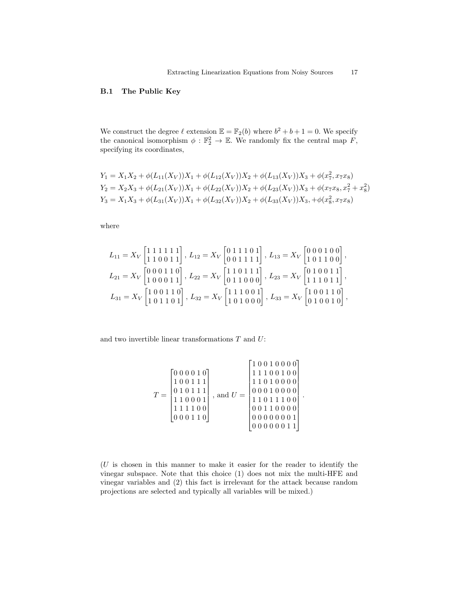### B.1 The Public Key

We construct the degree  $\ell$  extension  $\mathbb{E} = \mathbb{F}_2(b)$  where  $b^2 + b + 1 = 0$ . We specify the canonical isomorphism  $\phi : \mathbb{F}_2^2 \to \mathbb{E}$ . We randomly fix the central map  $\overline{F}$ , specifying its coordinates,

$$
Y_1 = X_1 X_2 + \phi(L_{11}(X_V)) X_1 + \phi(L_{12}(X_V)) X_2 + \phi(L_{13}(X_V)) X_3 + \phi(x_7^2, x_7 x_8)
$$
  
\n
$$
Y_2 = X_2 X_3 + \phi(L_{21}(X_V)) X_1 + \phi(L_{22}(X_V)) X_2 + \phi(L_{23}(X_V)) X_3 + \phi(x_7 x_8, x_7^2 + x_8^2)
$$
  
\n
$$
Y_3 = X_1 X_3 + \phi(L_{31}(X_V)) X_1 + \phi(L_{32}(X_V)) X_2 + \phi(L_{33}(X_V)) X_3 + \phi(x_8^2, x_7 x_8)
$$

where

$$
L_{11} = X_V \begin{bmatrix} 1 & 1 & 1 & 1 & 1 \\ 1 & 1 & 0 & 0 & 1 & 1 \end{bmatrix}, L_{12} = X_V \begin{bmatrix} 0 & 1 & 1 & 1 & 0 & 1 \\ 0 & 0 & 1 & 1 & 1 & 1 \end{bmatrix}, L_{13} = X_V \begin{bmatrix} 0 & 0 & 0 & 1 & 0 & 0 \\ 1 & 0 & 1 & 1 & 0 & 0 \end{bmatrix},
$$
  
\n
$$
L_{21} = X_V \begin{bmatrix} 0 & 0 & 0 & 1 & 1 & 0 \\ 1 & 0 & 0 & 0 & 1 & 1 \end{bmatrix}, L_{22} = X_V \begin{bmatrix} 1 & 1 & 0 & 1 & 1 & 1 \\ 0 & 1 & 1 & 0 & 0 & 0 \end{bmatrix}, L_{23} = X_V \begin{bmatrix} 0 & 1 & 0 & 0 & 1 & 1 \\ 1 & 1 & 1 & 0 & 1 & 1 \end{bmatrix},
$$
  
\n
$$
L_{31} = X_V \begin{bmatrix} 1 & 0 & 0 & 1 & 1 & 0 \\ 1 & 0 & 1 & 1 & 0 & 1 \end{bmatrix}, L_{32} = X_V \begin{bmatrix} 1 & 1 & 1 & 0 & 0 & 1 \\ 1 & 0 & 1 & 0 & 0 & 0 \end{bmatrix}, L_{33} = X_V \begin{bmatrix} 1 & 0 & 0 & 1 & 1 & 0 \\ 0 & 1 & 0 & 0 & 1 & 0 \end{bmatrix},
$$

and two invertible linear transformations  $T$  and  $U$ :

$$
T = \begin{bmatrix} 0 & 0 & 0 & 0 & 1 & 0 \\ 1 & 0 & 0 & 1 & 1 & 1 \\ 0 & 1 & 0 & 1 & 1 & 1 \\ 1 & 1 & 0 & 0 & 0 & 1 \\ 1 & 1 & 1 & 1 & 0 & 0 \\ 0 & 0 & 0 & 1 & 1 & 0 \end{bmatrix}, \text{ and } U = \begin{bmatrix} 1 & 0 & 0 & 1 & 0 & 0 & 0 \\ 1 & 1 & 1 & 0 & 0 & 1 & 0 & 0 \\ 1 & 1 & 0 & 1 & 0 & 0 & 0 & 0 \\ 0 & 0 & 0 & 1 & 0 & 0 & 0 & 0 \\ 0 & 0 & 1 & 1 & 0 & 0 & 0 & 0 \\ 0 & 0 & 0 & 1 & 0 & 0 & 0 & 0 \\ 0 & 0 & 0 & 0 & 0 & 0 & 1 & 1 \\ 0 & 0 & 0 & 0 & 0 & 0 & 1 & 1 \end{bmatrix}.
$$

 $(U$  is chosen in this manner to make it easier for the reader to identify the vinegar subspace. Note that this choice (1) does not mix the multi-HFE and vinegar variables and (2) this fact is irrelevant for the attack because random projections are selected and typically all variables will be mixed.)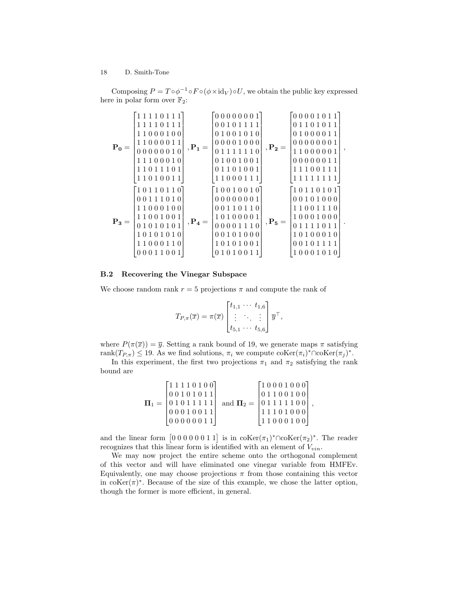Composing  $P = T \circ \phi^{-1} \circ F \circ (\phi \times id_V) \circ U$ , we obtain the public key expressed here in polar form over  $\mathbb{F}_2$ :

|         | [11110111] | $P_1 =$        | [00000001] | $P_{2} =$       | [00001011] |   |
|---------|------------|----------------|------------|-----------------|------------|---|
|         | 11110111   |                | 00101111   |                 | 01101011   |   |
|         | 11000100   |                | 01001010   |                 | 01000011   |   |
|         | 11000011   |                | 100001000  |                 | 00000001   |   |
| $P_0 =$ | 00000010   |                | 01111110   |                 | 11000001   | , |
|         | 11100010   |                | 01001001   |                 | 00000011   |   |
|         | 11011101   |                | 01101001   |                 | 11100111   |   |
|         | 11010011   |                | 11000111   |                 | 11111111   |   |
|         |            |                |            |                 |            |   |
|         | 10110110   | ${\bf ,P_4} =$ | 10010010   | $, {\bf P}_5 =$ | 10110101   |   |
|         | 00111010   |                | 00000001   |                 | 00101000   |   |
|         | 11000100   |                | 00110110   |                 | 11001110   |   |
|         | 111001001  |                | 10100001   |                 | 10001000   |   |
| $P_3 =$ | 01010101   |                | 00001110   |                 | 01111011   |   |
|         | 10101010   |                | 00101000   |                 | 10100010   |   |
|         | 11000110   |                | 10101001   |                 | 00101111   |   |
|         | 00011001   |                | 01010011   |                 | 10001010   |   |

#### B.2 Recovering the Vinegar Subspace

We choose random rank  $r = 5$  projections  $\pi$  and compute the rank of

$$
T_{P,\pi}(\overline{x}) = \pi(\overline{x}) \begin{bmatrix} t_{1,1} & \cdots & t_{1,6} \\ \vdots & \ddots & \vdots \\ t_{5,1} & \cdots & t_{5,6} \end{bmatrix} \overline{y}^{\top},
$$

where  $P(\pi(\overline{x})) = \overline{y}$ . Setting a rank bound of 19, we generate maps  $\pi$  satisfying rank $(T_{P,\pi}) \leq 19$ . As we find solutions,  $\pi_i$  we compute  $\operatorname{coker}(\pi_i)^* \cap \operatorname{coker}(\pi_j)^*$ .

In this experiment, the first two projections  $\pi_1$  and  $\pi_2$  satisfying the rank bound are

| [11110100]<br>00101011<br>$\Pi_1 =  010111111 $ | [10001000]<br>01100100<br>and $\Pi_2 =  01111100 $ |  |
|-------------------------------------------------|----------------------------------------------------|--|
| 00010011<br>00000011                            | 11101000<br>11000100                               |  |

and the linear form  $[0\ 0\ 0\ 0\ 0\ 1\ 1]$  is in  $\text{coker}(\pi_1)^* \cap \text{coker}(\pi_2)^*$ . The reader recognizes that this linear form is identified with an element of  $V_{vin}$ .

We may now project the entire scheme onto the orthogonal complement of this vector and will have eliminated one vinegar variable from HMFEv. Equivalently, one may choose projections  $\pi$  from those containing this vector in  $\mathrm{coKer}(\pi)^*$ . Because of the size of this example, we chose the latter option, though the former is more efficient, in general.